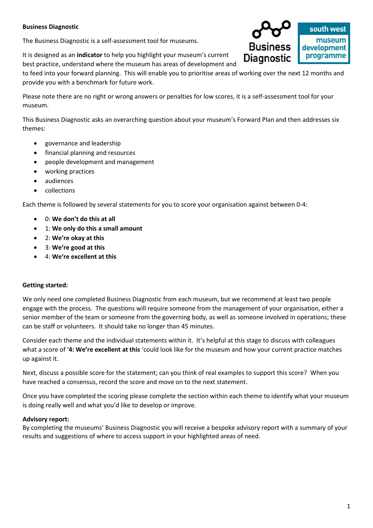### **Business Diagnostic**

The Business Diagnostic is a self-assessment tool for museums.

It is designed as an **indicator** to help you highlight your museum's current best practice, understand where the museum has areas of development and

to feed into your forward planning. This will enable you to prioritise areas of working over the next 12 months and provide you with a benchmark for future work.

Please note there are no right or wrong answers or penalties for low scores, it is a self-assessment tool for your museum.

This Business Diagnostic asks an overarching question about your museum's Forward Plan and then addresses six themes:

- governance and leadership
- financial planning and resources
- people development and management
- working practices
- audiences
- collections

Each theme is followed by several statements for you to score your organisation against between 0-4:

- 0: **We don't do this at all**
- 1: **We only do this a small amount**
- 2: **We're okay at this**
- 3: **We're good at this**
- 4: **We're excellent at this**

#### **Getting started:**

We only need one completed Business Diagnostic from each museum, but we recommend at least two people engage with the process. The questions will require someone from the management of your organisation, either a senior member of the team or someone from the governing body, as well as someone involved in operations; these can be staff or volunteers. It should take no longer than 45 minutes.

Consider each theme and the individual statements within it. It's helpful at this stage to discuss with colleagues what a score of '**4: We're excellent at this** 'could look like for the museum and how your current practice matches up against it.

Next, discuss a possible score for the statement; can you think of real examples to support this score? When you have reached a consensus, record the score and move on to the next statement.

Once you have completed the scoring please complete the section within each theme to identify what your museum is doing really well and what you'd like to develop or improve.

#### **Advisory report:**

By completing the museums' Business Diagnostic you will receive a bespoke advisory report with a summary of your results and suggestions of where to access support in your highlighted areas of need.

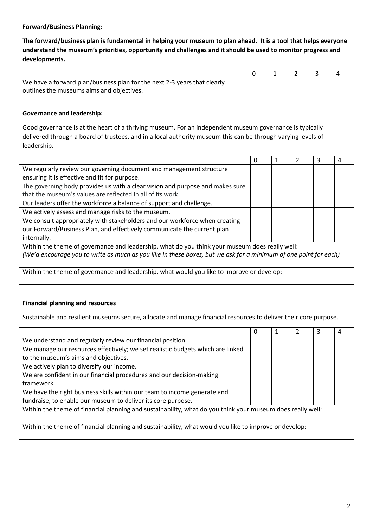### **Forward/Business Planning:**

**The forward/business plan is fundamental in helping your museum to plan ahead. It is a tool that helps everyone understand the museum's priorities, opportunity and challenges and it should be used to monitor progress and developments.**

| We have a forward plan/business plan for the next 2-3 years that clearly |  |  |  |
|--------------------------------------------------------------------------|--|--|--|
| outlines the museums aims and objectives.                                |  |  |  |

### **Governance and leadership:**

Good governance is at the heart of a thriving museum. For an independent museum governance is typically delivered through a board of trustees, and in a local authority museum this can be through varying levels of leadership.

|                                                                                                                  | 0 | 2 | ੨ | 4 |
|------------------------------------------------------------------------------------------------------------------|---|---|---|---|
| We regularly review our governing document and management structure                                              |   |   |   |   |
| ensuring it is effective and fit for purpose.                                                                    |   |   |   |   |
| The governing body provides us with a clear vision and purpose and makes sure                                    |   |   |   |   |
| that the museum's values are reflected in all of its work.                                                       |   |   |   |   |
| Our leaders offer the workforce a balance of support and challenge.                                              |   |   |   |   |
| We actively assess and manage risks to the museum.                                                               |   |   |   |   |
| We consult appropriately with stakeholders and our workforce when creating                                       |   |   |   |   |
| our Forward/Business Plan, and effectively communicate the current plan                                          |   |   |   |   |
| internally.                                                                                                      |   |   |   |   |
| Within the theme of governance and leadership, what do you think your museum does really well:                   |   |   |   |   |
| (We'd encourage you to write as much as you like in these boxes, but we ask for a minimum of one point for each) |   |   |   |   |
|                                                                                                                  |   |   |   |   |
| Within the theme of governance and leadership, what would you like to improve or develop:                        |   |   |   |   |

## **Financial planning and resources**

Sustainable and resilient museums secure, allocate and manage financial resources to deliver their core purpose.

|                                                                                                            | 0 | 2 | 3 | 4 |
|------------------------------------------------------------------------------------------------------------|---|---|---|---|
| We understand and regularly review our financial position.                                                 |   |   |   |   |
| We manage our resources effectively; we set realistic budgets which are linked                             |   |   |   |   |
| to the museum's aims and objectives.                                                                       |   |   |   |   |
| We actively plan to diversify our income.                                                                  |   |   |   |   |
| We are confident in our financial procedures and our decision-making                                       |   |   |   |   |
| framework                                                                                                  |   |   |   |   |
| We have the right business skills within our team to income generate and                                   |   |   |   |   |
| fundraise, to enable our museum to deliver its core purpose.                                               |   |   |   |   |
| Within the theme of financial planning and sustainability, what do you think your museum does really well: |   |   |   |   |
|                                                                                                            |   |   |   |   |
| Within the theme of financial planning and sustainability, what would you like to improve or develop:      |   |   |   |   |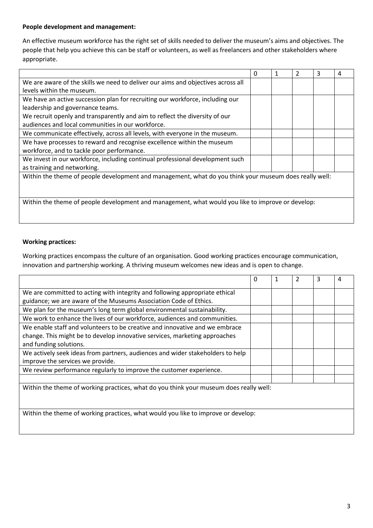## **People development and management:**

An effective museum workforce has the right set of skills needed to deliver the museum's aims and objectives. The people that help you achieve this can be staff or volunteers, as well as freelancers and other stakeholders where appropriate.

|                                                                                                        | $\Omega$ | $\overline{2}$ | 3 | 4 |
|--------------------------------------------------------------------------------------------------------|----------|----------------|---|---|
| We are aware of the skills we need to deliver our aims and objectives across all                       |          |                |   |   |
| levels within the museum.                                                                              |          |                |   |   |
| We have an active succession plan for recruiting our workforce, including our                          |          |                |   |   |
| leadership and governance teams.                                                                       |          |                |   |   |
| We recruit openly and transparently and aim to reflect the diversity of our                            |          |                |   |   |
| audiences and local communities in our workforce.                                                      |          |                |   |   |
| We communicate effectively, across all levels, with everyone in the museum.                            |          |                |   |   |
| We have processes to reward and recognise excellence within the museum                                 |          |                |   |   |
| workforce, and to tackle poor performance.                                                             |          |                |   |   |
| We invest in our workforce, including continual professional development such                          |          |                |   |   |
| as training and networking.                                                                            |          |                |   |   |
| Within the theme of people development and management, what do you think your museum does really well: |          |                |   |   |
|                                                                                                        |          |                |   |   |
|                                                                                                        |          |                |   |   |
| Within the theme of people development and management, what would you like to improve or develop:      |          |                |   |   |
|                                                                                                        |          |                |   |   |

# **Working practices:**

Working practices encompass the culture of an organisation. Good working practices encourage communication, innovation and partnership working. A thriving museum welcomes new ideas and is open to change.

|                                                                                        | $\Omega$ | $\mathcal{P}$ | 3 | 4 |
|----------------------------------------------------------------------------------------|----------|---------------|---|---|
| We are committed to acting with integrity and following appropriate ethical            |          |               |   |   |
| guidance; we are aware of the Museums Association Code of Ethics.                      |          |               |   |   |
| We plan for the museum's long term global environmental sustainability.                |          |               |   |   |
| We work to enhance the lives of our workforce, audiences and communities.              |          |               |   |   |
| We enable staff and volunteers to be creative and innovative and we embrace            |          |               |   |   |
| change. This might be to develop innovative services, marketing approaches             |          |               |   |   |
| and funding solutions.                                                                 |          |               |   |   |
| We actively seek ideas from partners, audiences and wider stakeholders to help         |          |               |   |   |
| improve the services we provide.                                                       |          |               |   |   |
| We review performance regularly to improve the customer experience.                    |          |               |   |   |
|                                                                                        |          |               |   |   |
| Within the theme of working practices, what do you think your museum does really well: |          |               |   |   |
|                                                                                        |          |               |   |   |
|                                                                                        |          |               |   |   |
| Within the theme of working practices, what would you like to improve or develop:      |          |               |   |   |
|                                                                                        |          |               |   |   |
|                                                                                        |          |               |   |   |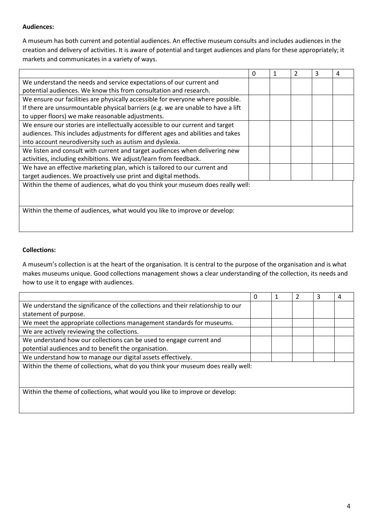## **Audiences:**

A museum has both current and potential audiences. An effective museum consults and includes audiences in the creation and delivery of activities. It is aware of potential and target audiences and plans for these appropriately; it markets and communicates in a variety of ways.

|                                                                                  | 0 | 2 | 3 |  |
|----------------------------------------------------------------------------------|---|---|---|--|
| We understand the needs and service expectations of our current and              |   |   |   |  |
| potential audiences. We know this from consultation and research.                |   |   |   |  |
| We ensure our facilities are physically accessible for everyone where possible.  |   |   |   |  |
| If there are unsurmountable physical barriers (e.g. we are unable to have a lift |   |   |   |  |
| to upper floors) we make reasonable adjustments.                                 |   |   |   |  |
| We ensure our stories are intellectually accessible to our current and target    |   |   |   |  |
| audiences. This includes adjustments for different ages and abilities and takes  |   |   |   |  |
| into account neurodiversity such as autism and dyslexia.                         |   |   |   |  |
| We listen and consult with current and target audiences when delivering new      |   |   |   |  |
| activities, including exhibitions. We adjust/learn from feedback.                |   |   |   |  |
| We have an effective marketing plan, which is tailored to our current and        |   |   |   |  |
| target audiences. We proactively use print and digital methods.                  |   |   |   |  |
| Within the theme of audiences, what do you think your museum does really well:   |   |   |   |  |
|                                                                                  |   |   |   |  |
|                                                                                  |   |   |   |  |
| Within the theme of audiences, what would you like to improve or develop:        |   |   |   |  |
|                                                                                  |   |   |   |  |
|                                                                                  |   |   |   |  |

### **Collections:**

A museum's collection is at the heart of the organisation. It is central to the purpose of the organisation and is what makes museums unique. Good collections management shows a clear understanding of the collection, its needs and how to use it to engage with audiences.

|                                                                                  | 0 | 2 | 3 | 4 |
|----------------------------------------------------------------------------------|---|---|---|---|
| We understand the significance of the collections and their relationship to our  |   |   |   |   |
| statement of purpose.                                                            |   |   |   |   |
| We meet the appropriate collections management standards for museums.            |   |   |   |   |
| We are actively reviewing the collections.                                       |   |   |   |   |
| We understand how our collections can be used to engage current and              |   |   |   |   |
| potential audiences and to benefit the organisation.                             |   |   |   |   |
| We understand how to manage our digital assets effectively.                      |   |   |   |   |
| Within the theme of collections, what do you think your museum does really well: |   |   |   |   |
|                                                                                  |   |   |   |   |
|                                                                                  |   |   |   |   |
| Within the theme of collections, what would you like to improve or develop:      |   |   |   |   |
|                                                                                  |   |   |   |   |
|                                                                                  |   |   |   |   |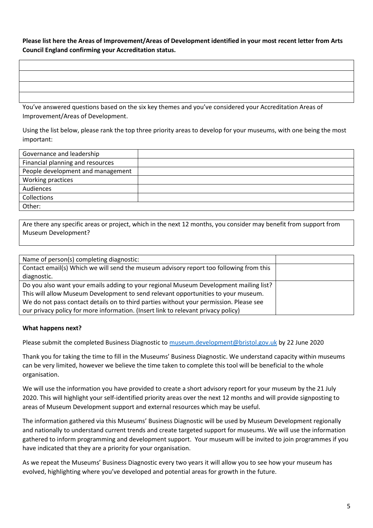**Please list here the Areas of Improvement/Areas of Development identified in your most recent letter from Arts Council England confirming your Accreditation status.**

You've answered questions based on the six key themes and you've considered your Accreditation Areas of Improvement/Areas of Development.

Using the list below, please rank the top three priority areas to develop for your museums, with one being the most important:

| Governance and leadership         |  |
|-----------------------------------|--|
| Financial planning and resources  |  |
| People development and management |  |
| Working practices                 |  |
| Audiences                         |  |
| Collections                       |  |
| Other:                            |  |

Are there any specific areas or project, which in the next 12 months, you consider may benefit from support from Museum Development?

#### **What happens next?**

Please submit the completed Business Diagnostic to [museum.development@bristol.gov.uk](mailto:museum.development@bristol.gov.uk) by 22 June 2020

Thank you for taking the time to fill in the Museums' Business Diagnostic. We understand capacity within museums can be very limited, however we believe the time taken to complete this tool will be beneficial to the whole organisation.

We will use the information you have provided to create a short advisory report for your museum by the 21 July 2020. This will highlight your self-identified priority areas over the next 12 months and will provide signposting to areas of Museum Development support and external resources which may be useful.

The information gathered via this Museums' Business Diagnostic will be used by Museum Development regionally and nationally to understand current trends and create targeted support for museums. We will use the information gathered to inform programming and development support. Your museum will be invited to join programmes if you have indicated that they are a priority for your organisation.

As we repeat the Museums' Business Diagnostic every two years it will allow you to see how your museum has evolved, highlighting where you've developed and potential areas for growth in the future.